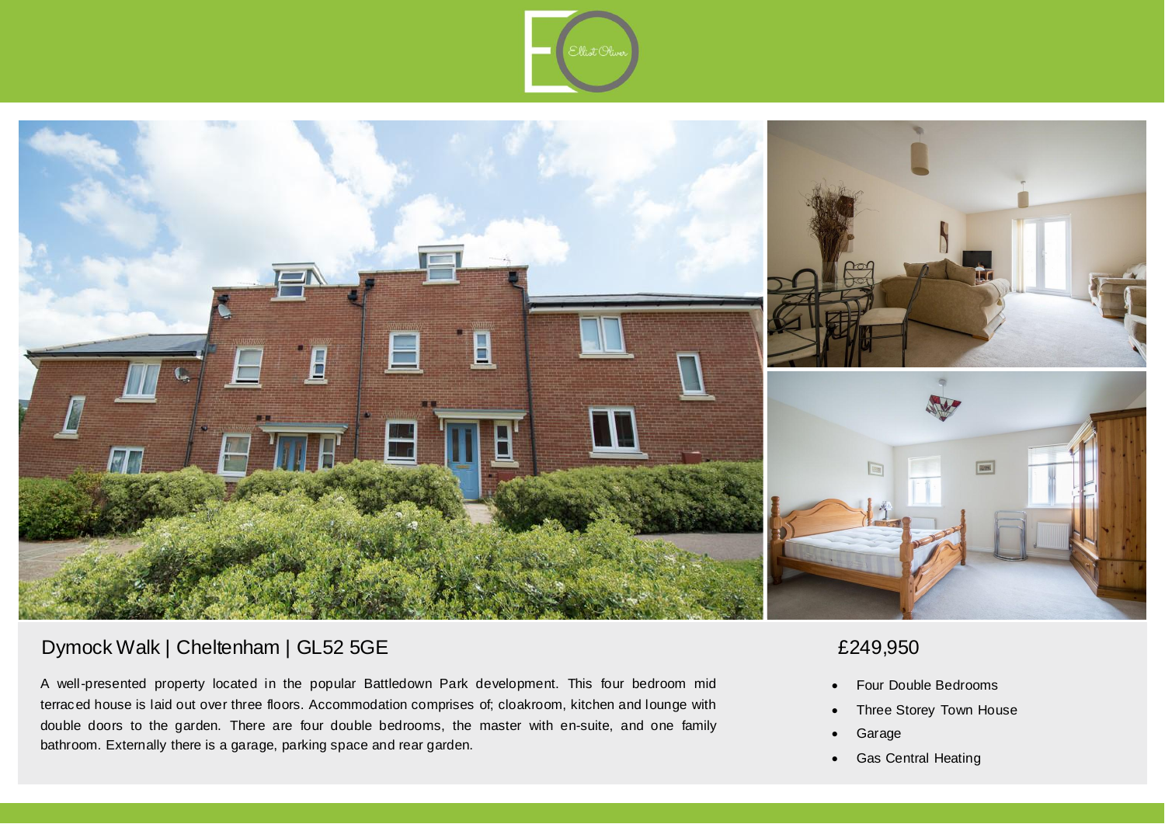



## Dymock Walk | Cheltenham | GL52 5GE

A well-presented property located in the popular Battledown Park development. This four bedroom mid terraced house is laid out over three floors. Accommodation comprises of; cloakroom, kitchen and lounge with double doors to the garden. There are four double bedrooms, the master with en-suite, and one family bathroom. Externally there is a garage, parking space and rear garden.

# £249,950

- Four Double Bedrooms
- Three Storey Town House
- Garage
- Gas Central Heating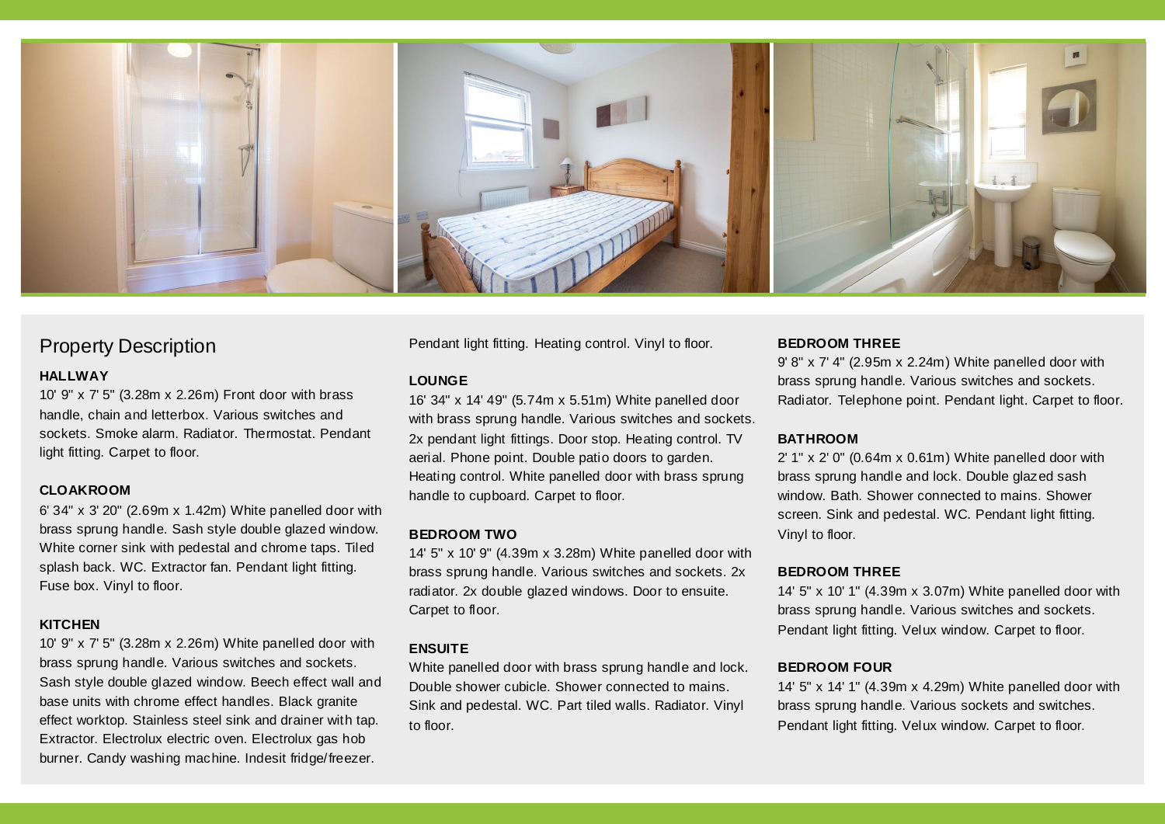

### Property Description

#### **HALLWAY**

10' 9" x 7' 5" (3.28m x 2.26m) Front door with brass handle, chain and letterbox. Various switches and sockets. Smoke alarm. Radiator. Thermostat. Pendant light fitting. Carpet to floor.

#### **CLOAKROOM**

6' 34" x 3' 20" (2.69m x 1.42m) White panelled door with brass sprung handle. Sash style double glazed window. White corner sink with pedestal and chrome taps. Tiled splash back. WC. Extractor fan. Pendant light fitting. Fuse box. Vinyl to floor.

#### **KITCHEN**

10' 9" x 7' 5" (3.28m x 2.26m) White panelled door with brass sprung handle. Various switches and sockets. Sash style double glazed window. Beech effect wall and base units with chrome effect handles. Black granite effect worktop. Stainless steel sink and drainer with tap. Extractor. Electrolux electric oven. Electrolux gas hob burner. Candy washing machine. Indesit fridge/freezer.

Pendant light fitting. Heating control. Vinyl to floor.

#### **LOUNGE**

16' 34" x 14' 49" (5.74m x 5.51m) White panelled door with brass sprung handle. Various switches and sockets. 2x pendant light fittings. Door stop. Heating control. TV aerial. Phone point. Double patio doors to garden. Heating control. White panelled door with brass sprung handle to cupboard. Carpet to floor.

#### **BEDROOM TWO**

14' 5" x 10' 9" (4.39m x 3.28m) White panelled door with brass sprung handle. Various switches and sockets. 2x radiator. 2x double glazed windows. Door to ensuite. Carpet to floor.

#### **ENSUITE**

White panelled door with brass sprung handle and lock. Double shower cubicle. Shower connected to mains. Sink and pedestal. WC. Part tiled walls. Radiator. Vinyl to floor.

#### **BEDROOM THREE**

9' 8" x 7' 4" (2.95m x 2.24m) White panelled door with brass sprung handle. Various switches and sockets. Radiator. Telephone point. Pendant light. Carpet to floor.

#### **BATHROOM**

2' 1" x 2' 0" (0.64m x 0.61m) White panelled door with brass sprung handle and lock. Double glazed sash window. Bath. Shower connected to mains. Shower screen. Sink and pedestal. WC. Pendant light fitting. Vinyl to floor.

#### **BEDROOM THREE**

14' 5" x 10' 1" (4.39m x 3.07m) White panelled door with brass sprung handle. Various switches and sockets. Pendant light fitting. Velux window. Carpet to floor.

#### **BEDROOM FOUR**

14' 5" x 14' 1" (4.39m x 4.29m) White panelled door with brass sprung handle. Various sockets and switches. Pendant light fitting. Velux window. Carpet to floor.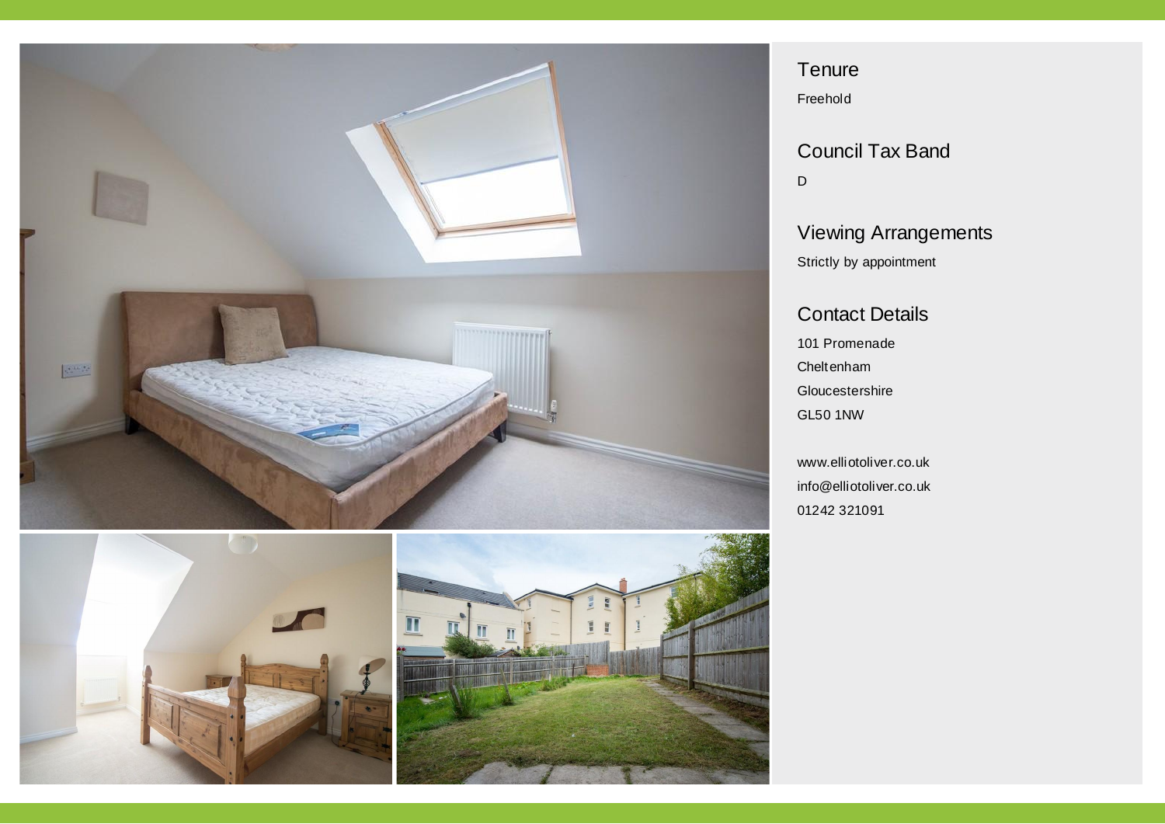



**Tenure** 

Freehold

Council Tax Band D

## Viewing Arrangements Strictly by appointment

### Contact Details

101 Promenade Cheltenham **Gloucestershire** GL50 1NW

www.elliotoliver.co.uk info@elliotoliver.co.uk 01242 321091